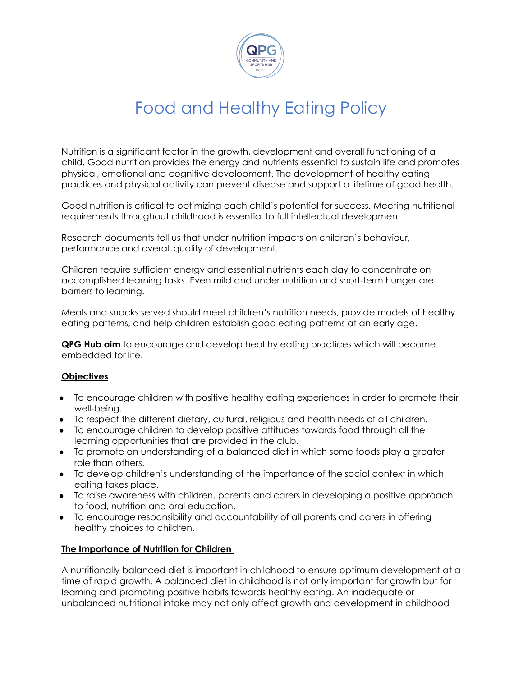

# Food and Healthy Eating Policy

Nutrition is a significant factor in the growth, development and overall functioning of a child. Good nutrition provides the energy and nutrients essential to sustain life and promotes physical, emotional and cognitive development. The development of healthy eating practices and physical activity can prevent disease and support a lifetime of good health.

Good nutrition is critical to optimizing each child's potential for success. Meeting nutritional requirements throughout childhood is essential to full intellectual development.

Research documents tell us that under nutrition impacts on children's behaviour, performance and overall quality of development.

Children require sufficient energy and essential nutrients each day to concentrate on accomplished learning tasks. Even mild and under nutrition and short-term hunger are barriers to learning.

Meals and snacks served should meet children's nutrition needs, provide models of healthy eating patterns, and help children establish good eating patterns at an early age.

**QPG Hub aim** to encourage and develop healthy eating practices which will become embedded for life.

## **Objectives**

- To encourage children with positive healthy eating experiences in order to promote their well-being.
- To respect the different dietary, cultural, religious and health needs of all children.
- To encourage children to develop positive attitudes towards food through all the learning opportunities that are provided in the club.
- To promote an understanding of a balanced diet in which some foods play a greater role than others.
- To develop children's understanding of the importance of the social context in which eating takes place.
- To raise awareness with children, parents and carers in developing a positive approach to food, nutrition and oral education.
- To encourage responsibility and accountability of all parents and carers in offering healthy choices to children.

## **The Importance of Nutrition for Children**

A nutritionally balanced diet is important in childhood to ensure optimum development at a time of rapid growth. A balanced diet in childhood is not only important for growth but for learning and promoting positive habits towards healthy eating. An inadequate or unbalanced nutritional intake may not only affect growth and development in childhood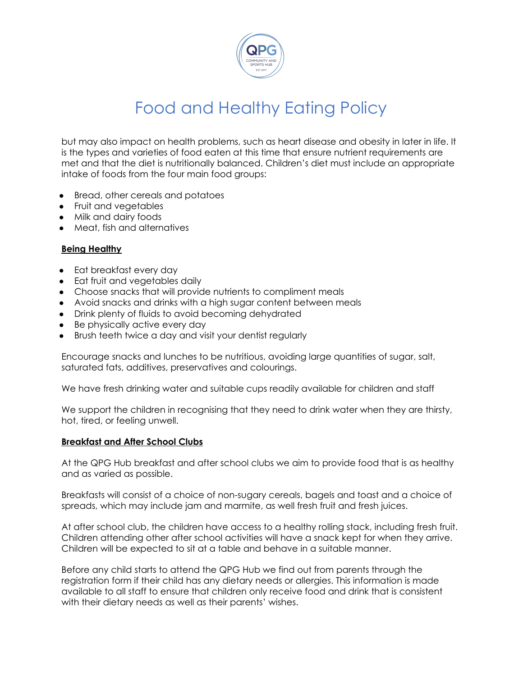

# Food and Healthy Eating Policy

but may also impact on health problems, such as heart disease and obesity in later in life. It is the types and varieties of food eaten at this time that ensure nutrient requirements are met and that the diet is nutritionally balanced. Children's diet must include an appropriate intake of foods from the four main food groups:

- Bread, other cereals and potatoes
- Fruit and vegetables
- Milk and dairy foods
- Meat, fish and alternatives

## **Being Healthy**

- Eat breakfast every day
- Eat fruit and vegetables daily
- Choose snacks that will provide nutrients to compliment meals
- Avoid snacks and drinks with a high sugar content between meals
- Drink plenty of fluids to avoid becoming dehydrated
- Be physically active every day
- Brush teeth twice a day and visit your dentist regularly

Encourage snacks and lunches to be nutritious, avoiding large quantities of sugar, salt, saturated fats, additives, preservatives and colourings.

We have fresh drinking water and suitable cups readily available for children and staff

We support the children in recognising that they need to drink water when they are thirsty, hot, tired, or feeling unwell.

## **Breakfast and After School Clubs**

At the QPG Hub breakfast and after school clubs we aim to provide food that is as healthy and as varied as possible.

Breakfasts will consist of a choice of non-sugary cereals, bagels and toast and a choice of spreads, which may include jam and marmite, as well fresh fruit and fresh juices.

At after school club, the children have access to a healthy rolling stack, including fresh fruit. Children attending other after school activities will have a snack kept for when they arrive. Children will be expected to sit at a table and behave in a suitable manner.

Before any child starts to attend the QPG Hub we find out from parents through the registration form if their child has any dietary needs or allergies. This information is made available to all staff to ensure that children only receive food and drink that is consistent with their dietary needs as well as their parents' wishes.